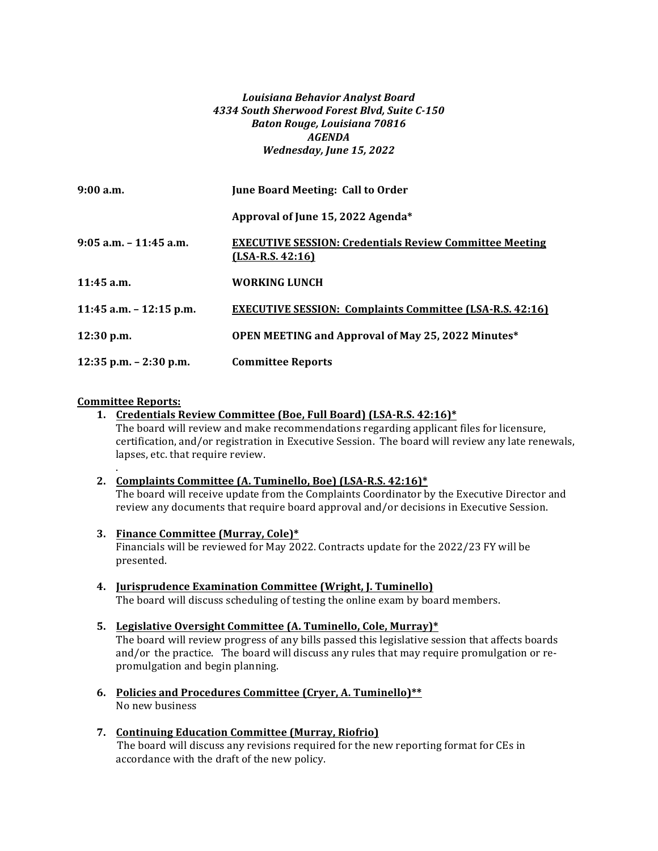### *Louisiana Behavior Analyst Board 4334 South Sherwood Forest Blvd, Suite C-150 Baton Rouge, Louisiana 70816 AGENDA Wednesday, June 15, 2022*

| 9:00a.m.                   | June Board Meeting: Call to Order                                                    |
|----------------------------|--------------------------------------------------------------------------------------|
|                            | Approval of June 15, 2022 Agenda*                                                    |
| $9:05$ a.m. $-11:45$ a.m.  | <b>EXECUTIVE SESSION: Credentials Review Committee Meeting</b><br>$(LSA-R.S. 42:16)$ |
| 11:45 a.m.                 | WORKING LUNCH                                                                        |
| 11:45 a.m. $-$ 12:15 p.m.  | <b>EXECUTIVE SESSION: Complaints Committee (LSA-R.S. 42:16)</b>                      |
| $12:30$ p.m.               | <b>OPEN MEETING and Approval of May 25, 2022 Minutes*</b>                            |
| $12:35$ p.m. $- 2:30$ p.m. | <b>Committee Reports</b>                                                             |

#### **Committee Reports:**

.

**1.** Credentials Review Committee (Boe, Full Board) (LSA-R.S. 42:16)\* The board will review and make recommendations regarding applicant files for licensure, certification, and/or registration in Executive Session. The board will review any late renewals, lapses, etc. that require review.

## 2. **Complaints Committee (A. Tuminello, Boe) (LSA-R.S. 42:16)\***

The board will receive update from the Complaints Coordinator by the Executive Director and review any documents that require board approval and/or decisions in Executive Session.

**3.** Finance Committee (Murray, Cole)\*

Financials will be reviewed for May 2022. Contracts update for the  $2022/23$  FY will be presented.

- **4. Jurisprudence Examination Committee (Wright, J. Tuminello)** The board will discuss scheduling of testing the online exam by board members.
- **5.** Legislative Oversight Committee (A. Tuminello, Cole, Murray)\*

The board will review progress of any bills passed this legislative session that affects boards and/or the practice. The board will discuss any rules that may require promulgation or repromulgation and begin planning.

- **6.** Policies and Procedures Committee (Cryer, A. Tuminello)\*\* No new business
- **7. Continuing Education Committee (Murray, Riofrio)** The board will discuss any revisions required for the new reporting format for CEs in accordance with the draft of the new policy.